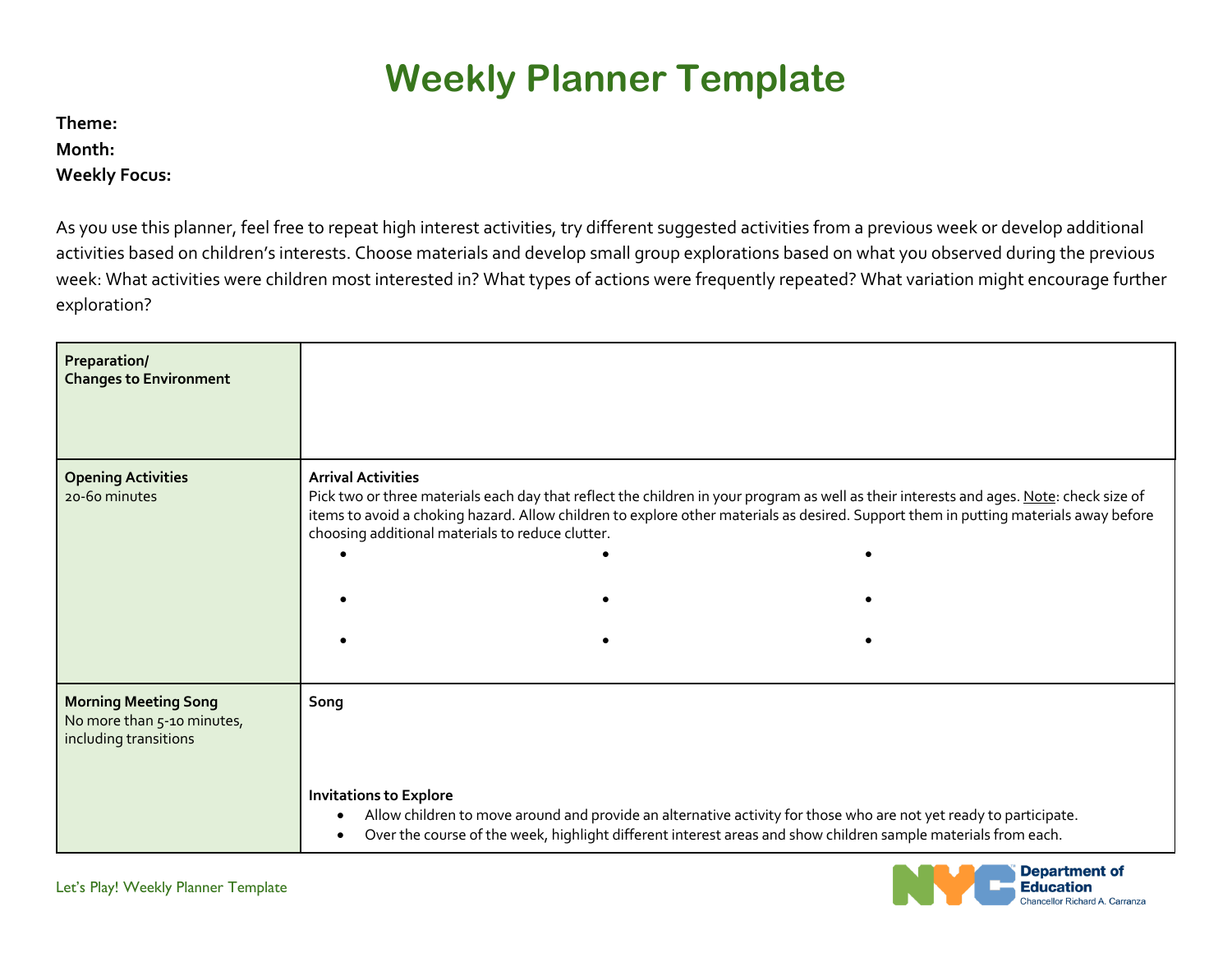## **Weekly Planner Template**

**Theme: Month:** 

 **Weekly Focus:** 

 As you use this planner, feel free to repeat high interest activities, try different suggested activities from a previous week or develop additional activities based on children's interests. Choose materials and develop small group explorations based on what you observed during the previous week: What activities were children most interested in? What types of actions were frequently repeated? What variation might encourage further exploration?

| Preparation/<br><b>Changes to Environment</b>                                      |                                                                               |  |                                                                                                                                                                                                                                                                                 |
|------------------------------------------------------------------------------------|-------------------------------------------------------------------------------|--|---------------------------------------------------------------------------------------------------------------------------------------------------------------------------------------------------------------------------------------------------------------------------------|
| <b>Opening Activities</b><br>20-60 minutes                                         | <b>Arrival Activities</b><br>choosing additional materials to reduce clutter. |  | Pick two or three materials each day that reflect the children in your program as well as their interests and ages. Note: check size of<br>items to avoid a choking hazard. Allow children to explore other materials as desired. Support them in putting materials away before |
|                                                                                    |                                                                               |  |                                                                                                                                                                                                                                                                                 |
|                                                                                    |                                                                               |  |                                                                                                                                                                                                                                                                                 |
| <b>Morning Meeting Song</b><br>No more than 5-10 minutes,<br>including transitions | Song                                                                          |  |                                                                                                                                                                                                                                                                                 |
|                                                                                    | <b>Invitations to Explore</b>                                                 |  | Allow children to move around and provide an alternative activity for those who are not yet ready to participate.<br>Over the course of the week, highlight different interest areas and show children sample materials from each.                                              |

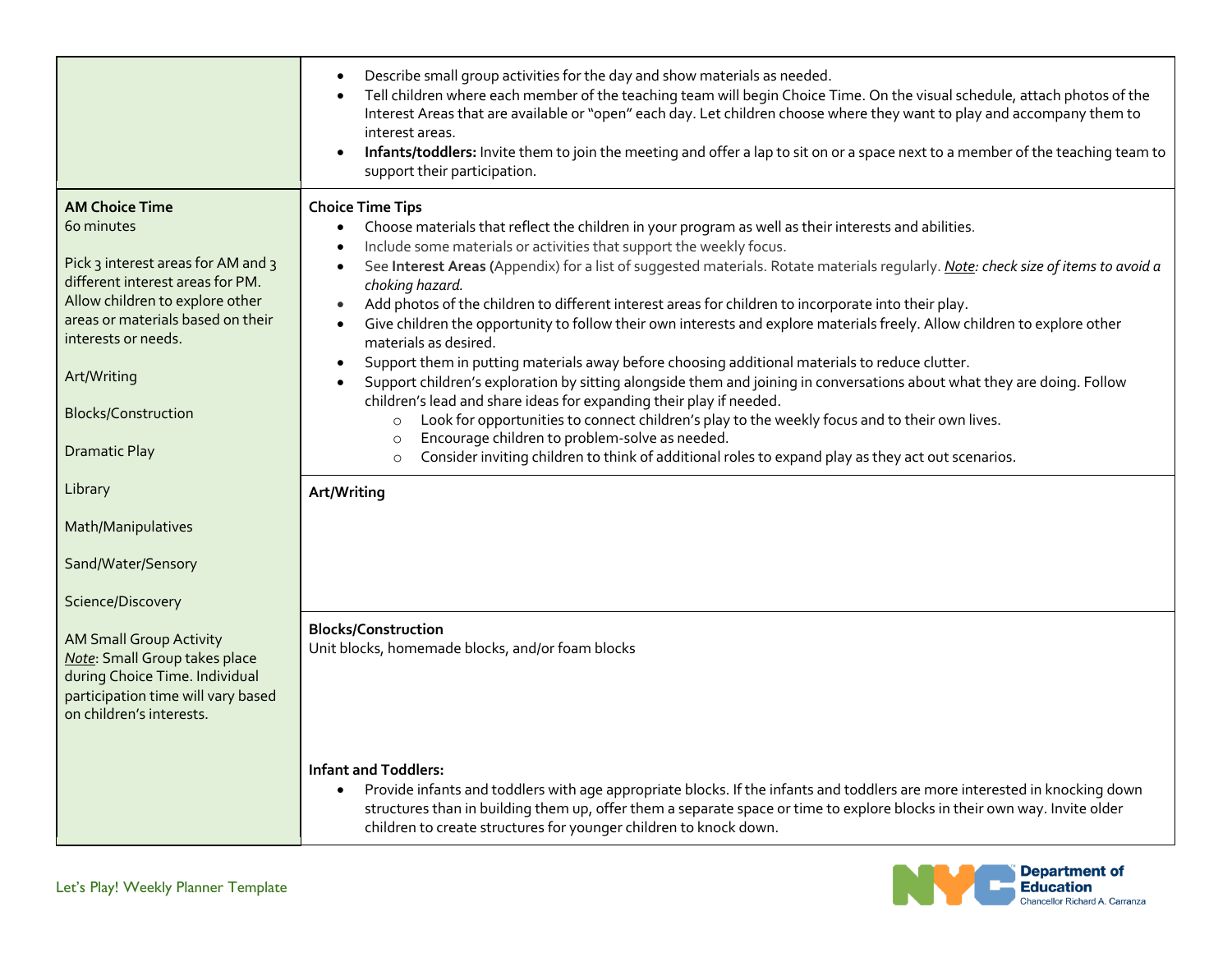|                                                                                                                                                                                                                                                                                   | Describe small group activities for the day and show materials as needed.<br>$\bullet$<br>Tell children where each member of the teaching team will begin Choice Time. On the visual schedule, attach photos of the<br>$\bullet$<br>Interest Areas that are available or "open" each day. Let children choose where they want to play and accompany them to<br>interest areas.<br>Infants/toddlers: Invite them to join the meeting and offer a lap to sit on or a space next to a member of the teaching team to<br>$\bullet$<br>support their participation.                                                                                                                                                                                                                                                                                                                                                                                                                                                                                                                                                                                                                                                                                                                            |
|-----------------------------------------------------------------------------------------------------------------------------------------------------------------------------------------------------------------------------------------------------------------------------------|-------------------------------------------------------------------------------------------------------------------------------------------------------------------------------------------------------------------------------------------------------------------------------------------------------------------------------------------------------------------------------------------------------------------------------------------------------------------------------------------------------------------------------------------------------------------------------------------------------------------------------------------------------------------------------------------------------------------------------------------------------------------------------------------------------------------------------------------------------------------------------------------------------------------------------------------------------------------------------------------------------------------------------------------------------------------------------------------------------------------------------------------------------------------------------------------------------------------------------------------------------------------------------------------|
| <b>AM Choice Time</b><br>60 minutes<br>Pick 3 interest areas for AM and 3<br>different interest areas for PM.<br>Allow children to explore other<br>areas or materials based on their<br>interests or needs.<br>Art/Writing<br><b>Blocks/Construction</b><br><b>Dramatic Play</b> | <b>Choice Time Tips</b><br>Choose materials that reflect the children in your program as well as their interests and abilities.<br>Include some materials or activities that support the weekly focus.<br>See Interest Areas (Appendix) for a list of suggested materials. Rotate materials regularly. Note: check size of items to avoid a<br>$\bullet$<br>choking hazard.<br>Add photos of the children to different interest areas for children to incorporate into their play.<br>$\bullet$<br>Give children the opportunity to follow their own interests and explore materials freely. Allow children to explore other<br>$\bullet$<br>materials as desired.<br>Support them in putting materials away before choosing additional materials to reduce clutter.<br>$\bullet$<br>Support children's exploration by sitting alongside them and joining in conversations about what they are doing. Follow<br>$\bullet$<br>children's lead and share ideas for expanding their play if needed.<br>Look for opportunities to connect children's play to the weekly focus and to their own lives.<br>$\circ$<br>Encourage children to problem-solve as needed.<br>$\circ$<br>Consider inviting children to think of additional roles to expand play as they act out scenarios.<br>$\circ$ |
| Library                                                                                                                                                                                                                                                                           | Art/Writing                                                                                                                                                                                                                                                                                                                                                                                                                                                                                                                                                                                                                                                                                                                                                                                                                                                                                                                                                                                                                                                                                                                                                                                                                                                                               |
| Math/Manipulatives                                                                                                                                                                                                                                                                |                                                                                                                                                                                                                                                                                                                                                                                                                                                                                                                                                                                                                                                                                                                                                                                                                                                                                                                                                                                                                                                                                                                                                                                                                                                                                           |
| Sand/Water/Sensory                                                                                                                                                                                                                                                                |                                                                                                                                                                                                                                                                                                                                                                                                                                                                                                                                                                                                                                                                                                                                                                                                                                                                                                                                                                                                                                                                                                                                                                                                                                                                                           |
| Science/Discovery                                                                                                                                                                                                                                                                 |                                                                                                                                                                                                                                                                                                                                                                                                                                                                                                                                                                                                                                                                                                                                                                                                                                                                                                                                                                                                                                                                                                                                                                                                                                                                                           |
| <b>AM Small Group Activity</b><br>Note: Small Group takes place<br>during Choice Time. Individual<br>participation time will vary based<br>on children's interests.                                                                                                               | <b>Blocks/Construction</b><br>Unit blocks, homemade blocks, and/or foam blocks                                                                                                                                                                                                                                                                                                                                                                                                                                                                                                                                                                                                                                                                                                                                                                                                                                                                                                                                                                                                                                                                                                                                                                                                            |
|                                                                                                                                                                                                                                                                                   | <b>Infant and Toddlers:</b><br>Provide infants and toddlers with age appropriate blocks. If the infants and toddlers are more interested in knocking down<br>$\bullet$<br>structures than in building them up, offer them a separate space or time to explore blocks in their own way. Invite older<br>children to create structures for younger children to knock down.                                                                                                                                                                                                                                                                                                                                                                                                                                                                                                                                                                                                                                                                                                                                                                                                                                                                                                                  |

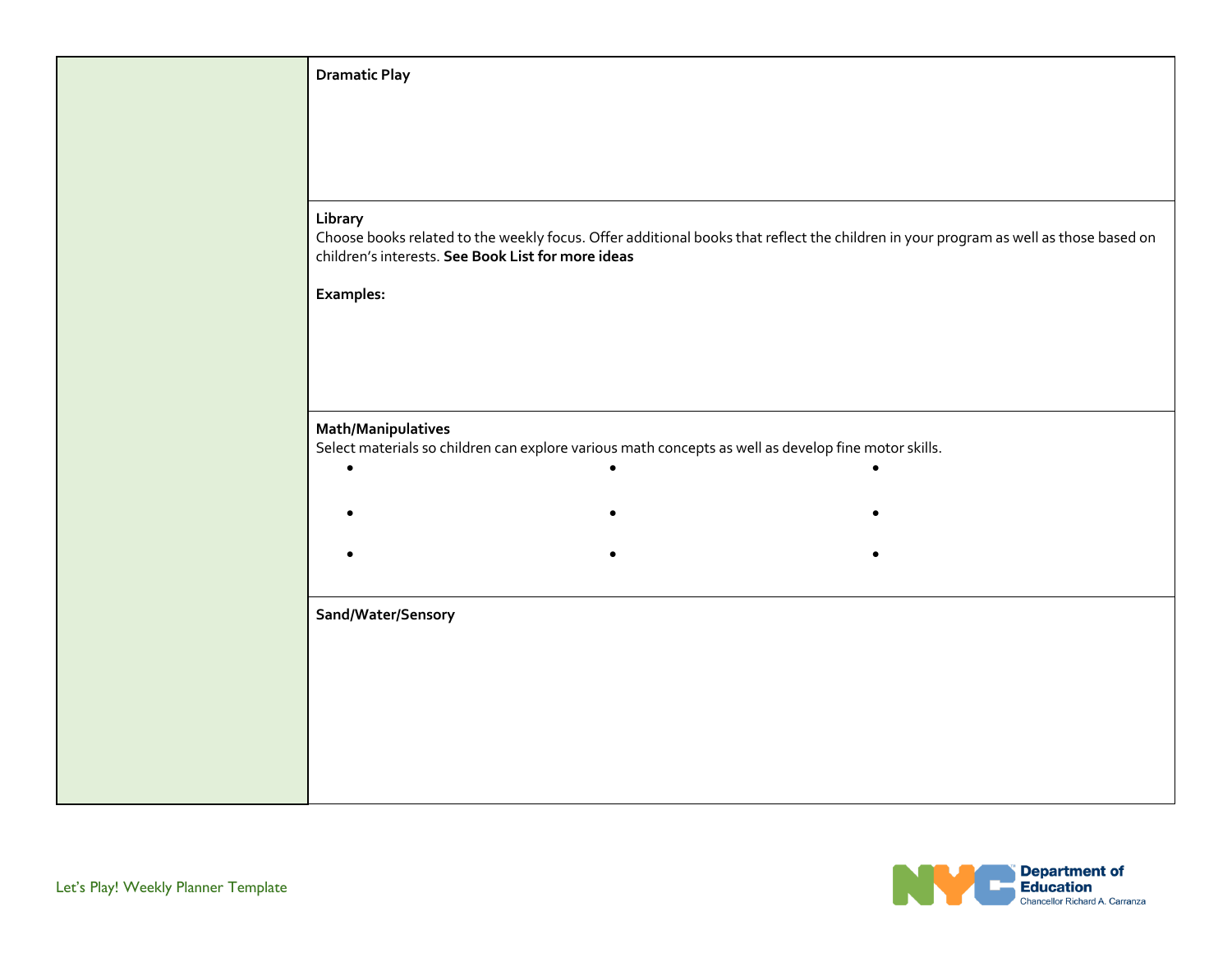| <b>Dramatic Play</b>                                          |                                                                                                      |           |                                                                                                                                      |
|---------------------------------------------------------------|------------------------------------------------------------------------------------------------------|-----------|--------------------------------------------------------------------------------------------------------------------------------------|
|                                                               |                                                                                                      |           |                                                                                                                                      |
|                                                               |                                                                                                      |           |                                                                                                                                      |
|                                                               |                                                                                                      |           |                                                                                                                                      |
| Library<br>children's interests. See Book List for more ideas |                                                                                                      |           | Choose books related to the weekly focus. Offer additional books that reflect the children in your program as well as those based on |
| <b>Examples:</b>                                              |                                                                                                      |           |                                                                                                                                      |
|                                                               |                                                                                                      |           |                                                                                                                                      |
|                                                               |                                                                                                      |           |                                                                                                                                      |
|                                                               |                                                                                                      |           |                                                                                                                                      |
| <b>Math/Manipulatives</b>                                     | Select materials so children can explore various math concepts as well as develop fine motor skills. |           |                                                                                                                                      |
| $\bullet$                                                     |                                                                                                      | $\bullet$ |                                                                                                                                      |
|                                                               |                                                                                                      |           |                                                                                                                                      |
|                                                               |                                                                                                      |           |                                                                                                                                      |
|                                                               |                                                                                                      |           |                                                                                                                                      |
| Sand/Water/Sensory                                            |                                                                                                      |           |                                                                                                                                      |
|                                                               |                                                                                                      |           |                                                                                                                                      |
|                                                               |                                                                                                      |           |                                                                                                                                      |
|                                                               |                                                                                                      |           |                                                                                                                                      |
|                                                               |                                                                                                      |           |                                                                                                                                      |
|                                                               |                                                                                                      |           |                                                                                                                                      |

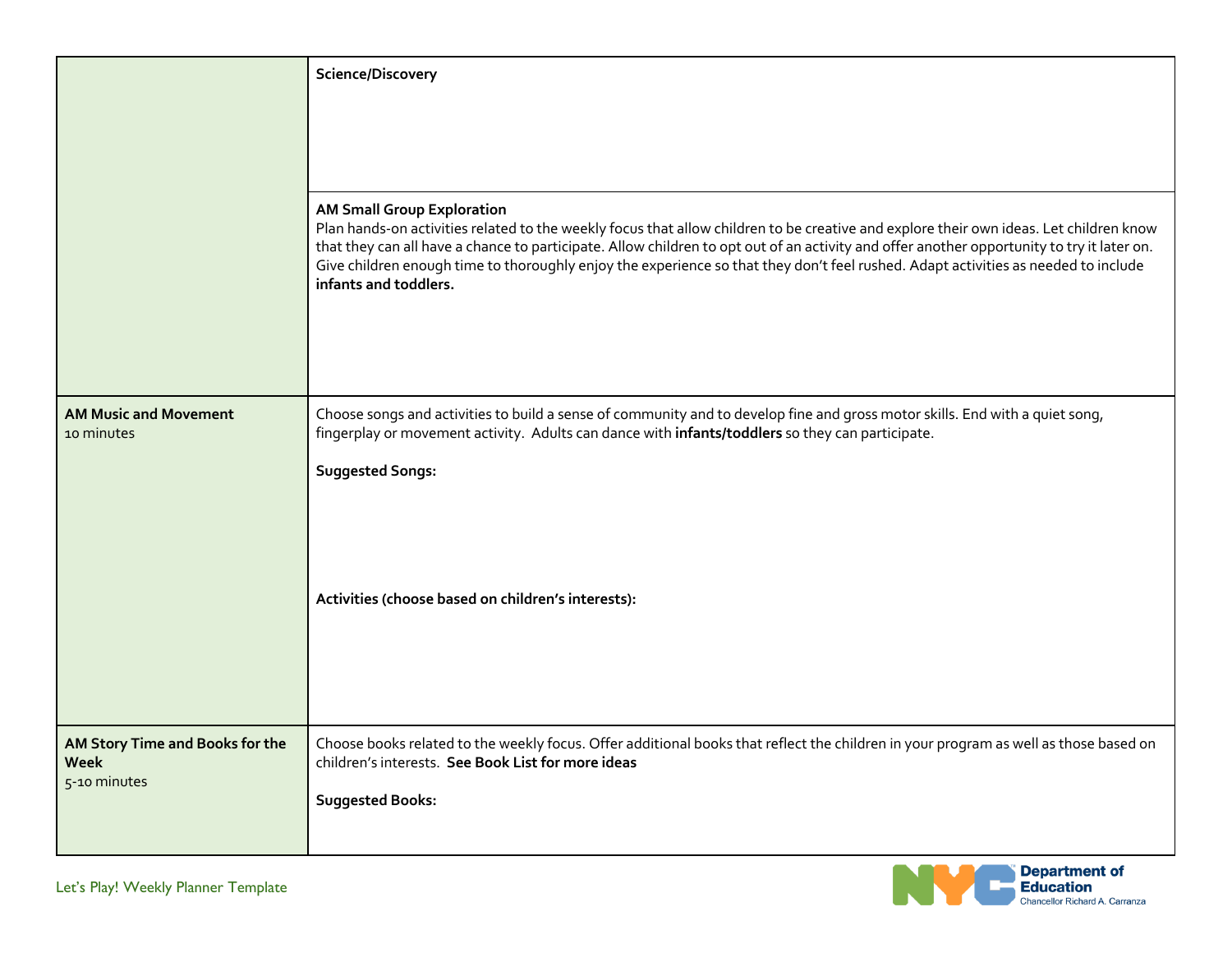|                                                                | Science/Discovery                                                                                                                                                                                                                                                                                                                                                                                                                                                                        |
|----------------------------------------------------------------|------------------------------------------------------------------------------------------------------------------------------------------------------------------------------------------------------------------------------------------------------------------------------------------------------------------------------------------------------------------------------------------------------------------------------------------------------------------------------------------|
|                                                                |                                                                                                                                                                                                                                                                                                                                                                                                                                                                                          |
|                                                                | <b>AM Small Group Exploration</b><br>Plan hands-on activities related to the weekly focus that allow children to be creative and explore their own ideas. Let children know<br>that they can all have a chance to participate. Allow children to opt out of an activity and offer another opportunity to try it later on.<br>Give children enough time to thoroughly enjoy the experience so that they don't feel rushed. Adapt activities as needed to include<br>infants and toddlers. |
| <b>AM Music and Movement</b><br>10 minutes                     | Choose songs and activities to build a sense of community and to develop fine and gross motor skills. End with a quiet song,<br>fingerplay or movement activity. Adults can dance with infants/toddlers so they can participate.                                                                                                                                                                                                                                                         |
|                                                                | <b>Suggested Songs:</b>                                                                                                                                                                                                                                                                                                                                                                                                                                                                  |
|                                                                | Activities (choose based on children's interests):                                                                                                                                                                                                                                                                                                                                                                                                                                       |
| AM Story Time and Books for the<br><b>Week</b><br>5-10 minutes | Choose books related to the weekly focus. Offer additional books that reflect the children in your program as well as those based on<br>children's interests. See Book List for more ideas<br><b>Suggested Books:</b>                                                                                                                                                                                                                                                                    |
| Let's Play! Weekly Planner Template                            | <b>Department of</b><br><b>Education</b><br><b>Chancellor Richard A. Carranza</b>                                                                                                                                                                                                                                                                                                                                                                                                        |

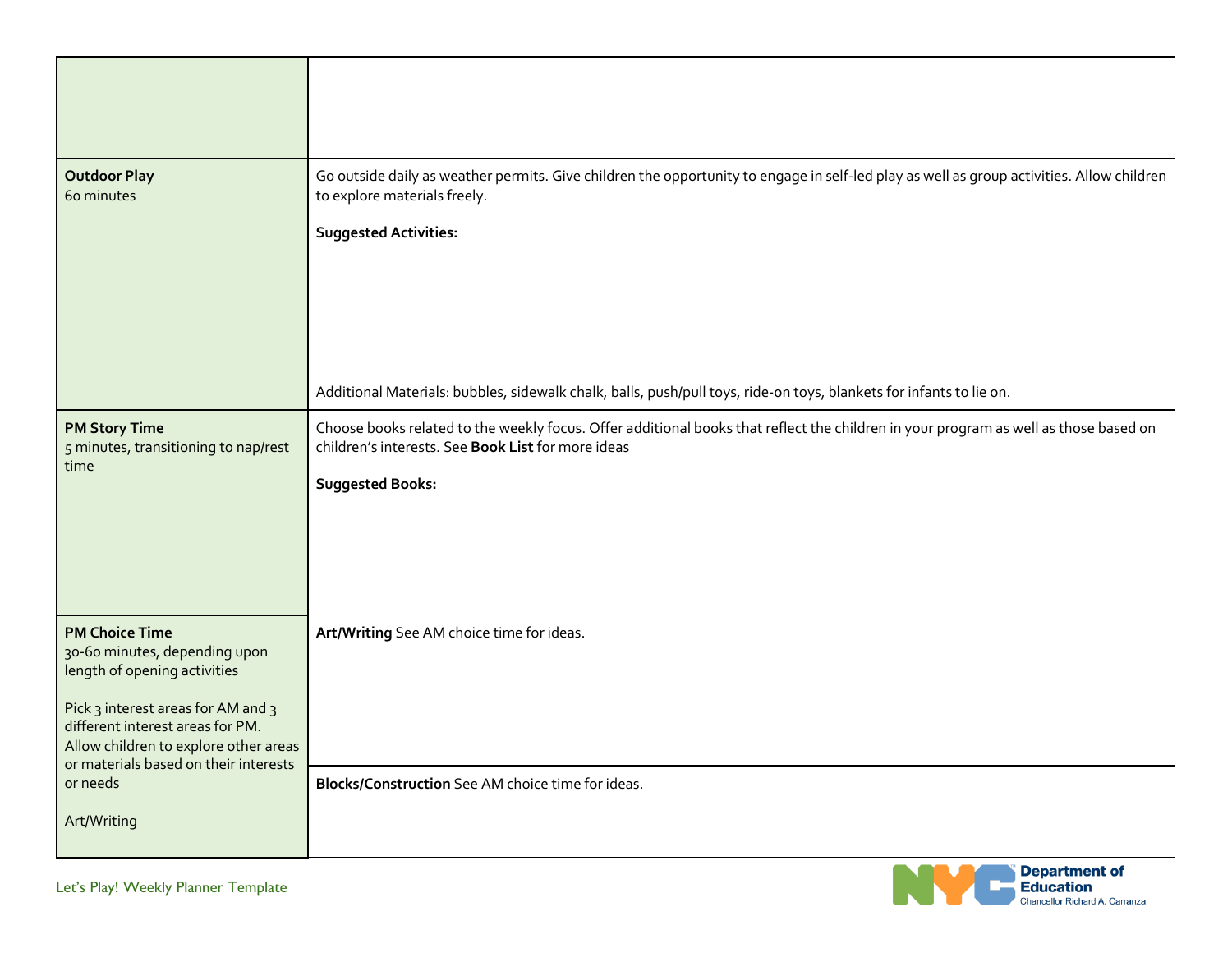| <b>Outdoor Play</b><br>60 minutes                                                                                                                                                                                                                  | Go outside daily as weather permits. Give children the opportunity to engage in self-led play as well as group activities. Allow children<br>to explore materials freely.<br><b>Suggested Activities:</b>             |
|----------------------------------------------------------------------------------------------------------------------------------------------------------------------------------------------------------------------------------------------------|-----------------------------------------------------------------------------------------------------------------------------------------------------------------------------------------------------------------------|
|                                                                                                                                                                                                                                                    | Additional Materials: bubbles, sidewalk chalk, balls, push/pull toys, ride-on toys, blankets for infants to lie on.                                                                                                   |
| <b>PM Story Time</b><br>5 minutes, transitioning to nap/rest<br>time                                                                                                                                                                               | Choose books related to the weekly focus. Offer additional books that reflect the children in your program as well as those based on<br>children's interests. See Book List for more ideas<br><b>Suggested Books:</b> |
| <b>PM Choice Time</b><br>30-60 minutes, depending upon<br>length of opening activities<br>Pick 3 interest areas for AM and 3<br>different interest areas for PM.<br>Allow children to explore other areas<br>or materials based on their interests | Art/Writing See AM choice time for ideas.                                                                                                                                                                             |
| or needs<br>Art/Writing                                                                                                                                                                                                                            | Blocks/Construction See AM choice time for ideas.                                                                                                                                                                     |

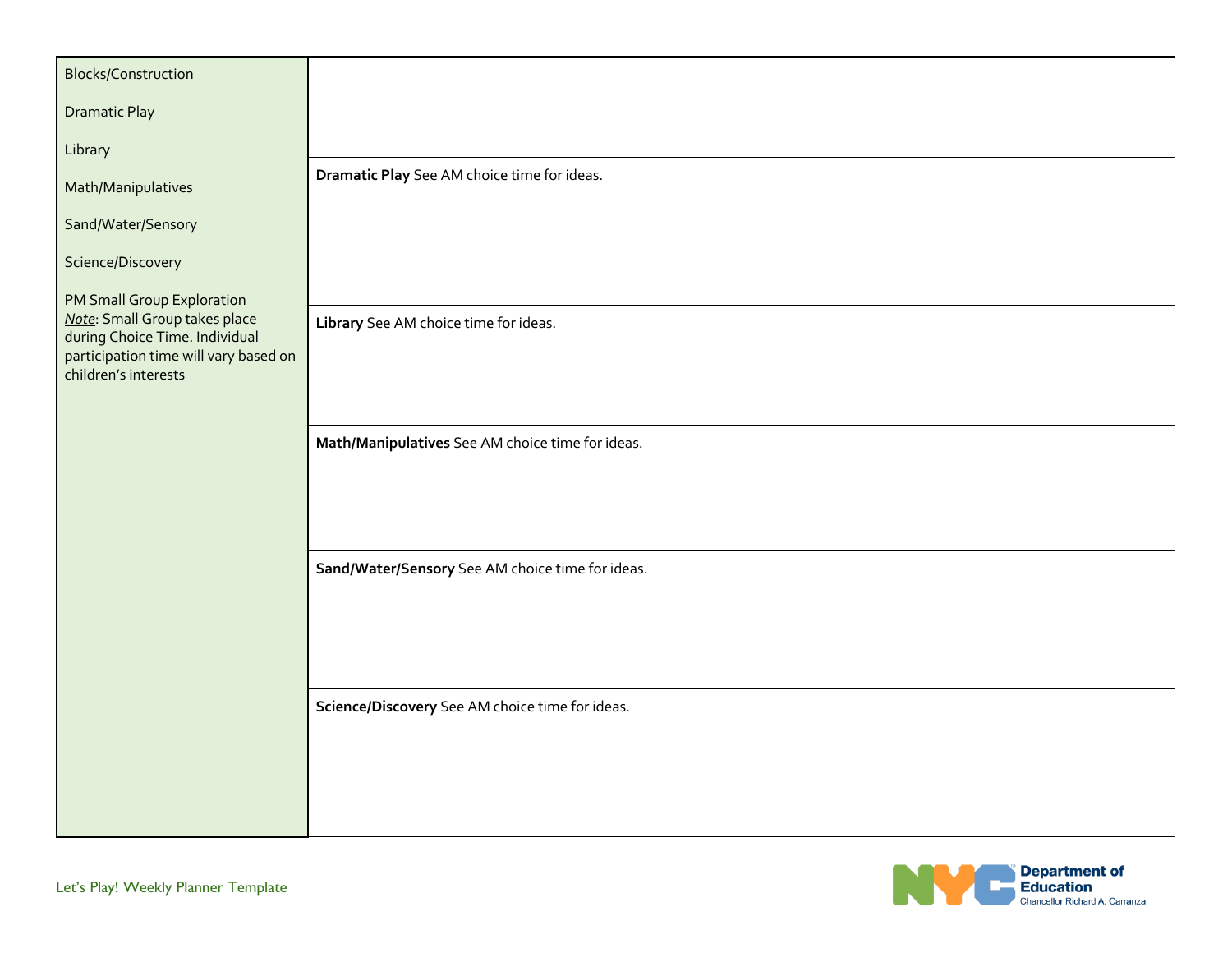| <b>Blocks/Construction</b>                                                                                                                                     |                                                  |
|----------------------------------------------------------------------------------------------------------------------------------------------------------------|--------------------------------------------------|
| <b>Dramatic Play</b>                                                                                                                                           |                                                  |
| Library                                                                                                                                                        |                                                  |
| Math/Manipulatives                                                                                                                                             | Dramatic Play See AM choice time for ideas.      |
| Sand/Water/Sensory                                                                                                                                             |                                                  |
| Science/Discovery                                                                                                                                              |                                                  |
| PM Small Group Exploration<br>Note: Small Group takes place<br>during Choice Time. Individual<br>participation time will vary based on<br>children's interests | Library See AM choice time for ideas.            |
|                                                                                                                                                                | Math/Manipulatives See AM choice time for ideas. |
|                                                                                                                                                                |                                                  |
|                                                                                                                                                                | Sand/Water/Sensory See AM choice time for ideas. |
|                                                                                                                                                                |                                                  |
|                                                                                                                                                                | Science/Discovery See AM choice time for ideas.  |
|                                                                                                                                                                |                                                  |

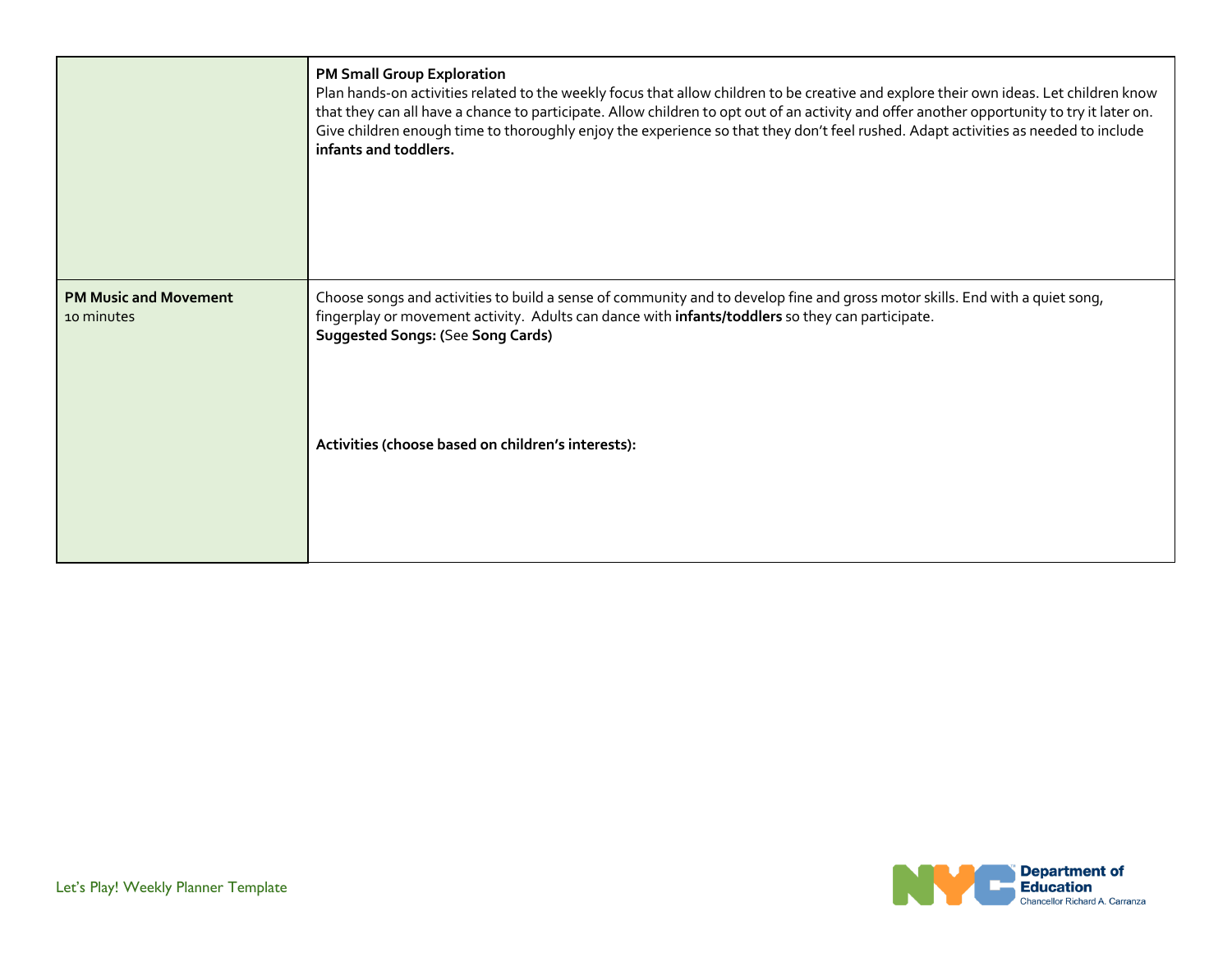|                                            | <b>PM Small Group Exploration</b><br>Plan hands-on activities related to the weekly focus that allow children to be creative and explore their own ideas. Let children know<br>that they can all have a chance to participate. Allow children to opt out of an activity and offer another opportunity to try it later on.<br>Give children enough time to thoroughly enjoy the experience so that they don't feel rushed. Adapt activities as needed to include<br>infants and toddlers. |
|--------------------------------------------|------------------------------------------------------------------------------------------------------------------------------------------------------------------------------------------------------------------------------------------------------------------------------------------------------------------------------------------------------------------------------------------------------------------------------------------------------------------------------------------|
| <b>PM Music and Movement</b><br>10 minutes | Choose songs and activities to build a sense of community and to develop fine and gross motor skills. End with a quiet song,<br>fingerplay or movement activity. Adults can dance with infants/toddlers so they can participate.<br><b>Suggested Songs: (See Song Cards)</b><br>Activities (choose based on children's interests):                                                                                                                                                       |